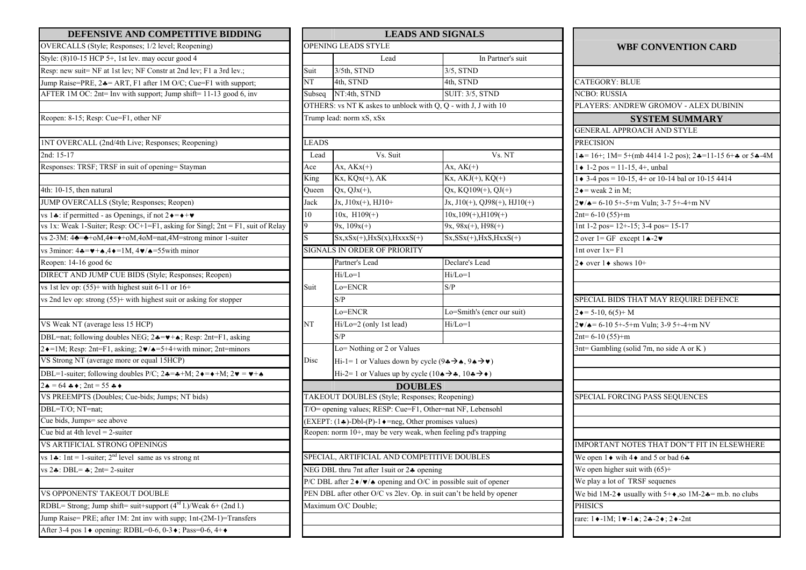| DEFENSIVE AND COMPETITIVE BIDDING                                                                                  |              | <b>LEADS AND SIGNALS</b>                                                                                                           |                                       |  |  |
|--------------------------------------------------------------------------------------------------------------------|--------------|------------------------------------------------------------------------------------------------------------------------------------|---------------------------------------|--|--|
| OVERCALLS (Style; Responses; 1/2 level; Reopening)                                                                 |              | <b>OPENING LEADS STYLE</b>                                                                                                         |                                       |  |  |
| Style: (8)10-15 HCP 5+, 1st lev. may occur good 4                                                                  |              | Lead                                                                                                                               | In Partner's suit                     |  |  |
| Resp: new suit= NF at 1st lev; NF Constr at 2nd lev; F1 a 3rd lev.;                                                | Suit         | 3/5th, STND                                                                                                                        | $3/5$ , STND                          |  |  |
| Jump Raise=PRE, 24 = ART, F1 after 1M O/C; Cue=F1 with support;                                                    | NT           | 4th, STND                                                                                                                          | 4th, STND                             |  |  |
| AFTER 1M OC: 2nt= Inv with support; Jump shift= 11-13 good 6, inv                                                  | Subseq       | NT:4th, STND                                                                                                                       | <b>SUIT: 3/5, STND</b>                |  |  |
|                                                                                                                    |              | OTHERS: vs NT K askes to unblock with Q, Q - with J, J with 10                                                                     |                                       |  |  |
| Reopen: 8-15; Resp: Cue=F1, other NF                                                                               |              | Trump lead: norm xS, xSx                                                                                                           |                                       |  |  |
| INT OVERCALL (2nd/4th Live; Responses; Reopening)                                                                  | <b>LEADS</b> |                                                                                                                                    |                                       |  |  |
| 2nd: 15-17                                                                                                         | Lead         | Vs. Suit                                                                                                                           | $\overline{V}$ s. NT                  |  |  |
| Responses: TRSF; TRSF in suit of opening= Stayman                                                                  | Ace          | $Ax, AKx(+)$                                                                                                                       | Ax, $AK(+)$                           |  |  |
|                                                                                                                    | King         | $Kx, KQx(+), AK$                                                                                                                   | $Kx$ , $AKJ(+)$ , $KQ(+)$             |  |  |
| 4th: 10-15, then natural                                                                                           | Queen        | $Qx, QJx(+),$                                                                                                                      | $Qx$ , KQ109(+), QJ(+)                |  |  |
| JUMP OVERCALLS (Style; Responses; Reopen)                                                                          | Jack         | $Jx, J10x(+), HJ10+$                                                                                                               | Jx, $J10(+)$ , QJ98(+), HJ10( $\cdot$ |  |  |
| vs 14: if permitted - as Openings, if not $2 \rightarrow + \bullet$                                                | $10\,$       | 10x, $H109(+)$                                                                                                                     | $10x, 109(+), H109(+)$                |  |  |
| vs 1x: Weak 1-Suiter; Resp: OC+1=F1, asking for Singl; $2nt = F1$ , suit of Relay                                  | 9            | $9x, 109x(+)$                                                                                                                      | $9x, 98x(+), H98(+)$                  |  |  |
| vs 2-3M: $4\triangleq$ = $\triangleq$ +oM,4 $\triangleleft$ = $\triangleleft$ +oM,4oM=nat,4M=strong minor 1-suiter | S            | $Sx, xSx(+), HxS(x), HxxxS(+)$                                                                                                     | $Sx, SSx(+), HxS, HxxS(+)$            |  |  |
| vs 3minor: $4\bullet = \bullet + \bullet$ , $4\bullet = 1$ M, $4\bullet / \bullet = 55$ with minor                 |              | SIGNALS IN ORDER OF PRIORITY                                                                                                       |                                       |  |  |
| Reopen: 14-16 good 6c                                                                                              |              | Partner's Lead                                                                                                                     | Declare's Lead                        |  |  |
| DIRECT AND JUMP CUE BIDS (Style; Responses; Reopen)                                                                |              | $Hi/Lo=1$                                                                                                                          | $Hi/Lo=1$                             |  |  |
| vs 1st lev op: $(55)$ + with highest suit 6-11 or 16+                                                              | Suit         | Lo=ENCR                                                                                                                            | S/P                                   |  |  |
| vs 2nd lev op: strong (55)+ with highest suit or asking for stopper                                                |              | S/P                                                                                                                                |                                       |  |  |
|                                                                                                                    |              | Lo=ENCR                                                                                                                            | Lo=Smith's (encr our suit)            |  |  |
| VS Weak NT (average less 15 HCP)                                                                                   | NT           | Hi/Lo=2 (only 1st lead)                                                                                                            | $Hi/Lo=1$                             |  |  |
| DBL=nat; following doubles NEG; 24= $\blacktriangleright$ +4; Resp: 2nt=F1, asking                                 |              | S/P                                                                                                                                |                                       |  |  |
| $2 \cdot = 1$ M; Resp: 2nt=F1, asking; $2 \cdot / \cdot = 5 + 4 +$ with minor; 2nt=minors                          |              | Lo=Nothing or 2 or Values                                                                                                          |                                       |  |  |
| VS Strong NT (average more or equal 15HCP)                                                                         |              | Hi-1= 1 or Values down by cycle (9 $\leftrightarrow$ $\rightarrow$ $\leftrightarrow$ 9 $\leftrightarrow$ $\rightarrow$ $\bullet$ ) |                                       |  |  |
| DBL=1-suiter; following doubles P/C; $2 \cdot = \cdot + M$ ; $2 \cdot = \cdot + M$ ; $2 \cdot = \cdot + \cdot$     |              | Hi-2= 1 or Values up by cycle $(10 \triangle \rightarrow \clubsuit, 10 \clubsuit \rightarrow \bullet)$                             |                                       |  |  |
| $2 \cdot \bullet = 64 \cdot \bullet$ ; $2nt = 55 \cdot \bullet \bullet$                                            |              | <b>DOUBLES</b>                                                                                                                     |                                       |  |  |
| VS PREEMPTS (Doubles; Cue-bids; Jumps; NT bids)                                                                    |              | TAKEOUT DOUBLES (Style; Responses; Reopening)                                                                                      |                                       |  |  |
| DBL=T/O; NT=nat;                                                                                                   |              | T/O= opening values; RESP: Cue=F1, Other=nat NF, Lebensohl                                                                         |                                       |  |  |
| Cue bids, Jumps= see above                                                                                         |              | (EXEPT: (1♣)-Dbl-(P)-1♦=neg, Other promises values)                                                                                |                                       |  |  |
| Cue bid at 4th level $= 2$ -suiter                                                                                 |              | Reopen: norm 10+, may be very weak, when feeling pd's trapping                                                                     |                                       |  |  |
| VS ARTIFICIAL STRONG OPENINGS                                                                                      |              |                                                                                                                                    |                                       |  |  |
| vs 1.: 1nt = 1-suiter; $2^{nd}$ level same as vs strong nt                                                         |              | SPECIAL, ARTIFICIAL AND COMPETITIVE DOUBLES                                                                                        |                                       |  |  |
| vs $2\clubsuit$ : DBL= $\clubsuit$ ; 2nt= 2-suiter                                                                 |              | NEG DBL thru 7nt after 1 suit or $2\clubsuit$ opening                                                                              |                                       |  |  |
|                                                                                                                    |              | P/C DBL after $2\blacklozenge/\blacktriangledown/\blacktriangle$ opening and O/C in possible suit of opener                        |                                       |  |  |
| VS OPPONENTS' TAKEOUT DOUBLE                                                                                       |              | PEN DBL after other O/C vs 2lev. Op. in suit can't be held by opener                                                               |                                       |  |  |
| RDBL= Strong; Jump shift= suit+support $(4rd 1.)$ /Weak 6+ $(2nd 1.)$                                              |              | Maximum O/C Double;                                                                                                                |                                       |  |  |
| Jump Raise= PRE; after 1M: 2nt inv with supp; 1nt-(2M-1)=Transfers                                                 |              |                                                                                                                                    |                                       |  |  |
| After 3-4 pos 1 $\bullet$ opening: RDBL=0-6, 0-3 $\bullet$ ; Pass=0-6, 4+ $\bullet$                                |              |                                                                                                                                    |                                       |  |  |

| DEFENSIVE AND COMPETITIVE BIDDING                                                                                                                      | <b>LEADS AND SIGNALS</b>                                              |                                                                                                                                                |                                 |                                                                                     |  |
|--------------------------------------------------------------------------------------------------------------------------------------------------------|-----------------------------------------------------------------------|------------------------------------------------------------------------------------------------------------------------------------------------|---------------------------------|-------------------------------------------------------------------------------------|--|
| OVERCALLS (Style; Responses; 1/2 level; Reopening)                                                                                                     |                                                                       | <b>OPENING LEADS STYLE</b>                                                                                                                     |                                 | <b>WBF CONVENTION CARD</b>                                                          |  |
| Style: (8)10-15 HCP 5+, 1st lev. may occur good 4                                                                                                      |                                                                       | Lead                                                                                                                                           | In Partner's suit               |                                                                                     |  |
| Resp: new suit= NF at 1st lev; NF Constr at 2nd lev; F1 a 3rd lev.;                                                                                    | Suit                                                                  | 3/5th, STND                                                                                                                                    | $3/5$ , STND                    |                                                                                     |  |
| Jump Raise=PRE, 24= ART, F1 after 1M O/C; Cue=F1 with support;                                                                                         | NT                                                                    | 4th, STND                                                                                                                                      | 4th, STND                       | CATEGORY: BLUE                                                                      |  |
| AFTER 1M OC: 2nt= Inv with support; Jump shift= 11-13 good 6, inv                                                                                      | Subseq                                                                | NT:4th, STND                                                                                                                                   | SUIT: 3/5, STND                 | NCBO: RUSSIA                                                                        |  |
|                                                                                                                                                        |                                                                       | OTHERS: vs NT K askes to unblock with Q, Q - with J, J with 10                                                                                 |                                 | PLAYERS: ANDREW GROMOV - ALEX DUBININ                                               |  |
| Reopen: 8-15; Resp: Cue=F1, other NF                                                                                                                   |                                                                       | Trump lead: norm xS, xSx                                                                                                                       |                                 | <b>SYSTEM SUMMARY</b>                                                               |  |
|                                                                                                                                                        |                                                                       |                                                                                                                                                |                                 | <b>GENERAL APPROACH AND STYLE</b>                                                   |  |
| INT OVERCALL (2nd/4th Live; Responses; Reopening)                                                                                                      | <b>LEADS</b>                                                          |                                                                                                                                                |                                 | <b>PRECISION</b>                                                                    |  |
| $2nd: 15-17$                                                                                                                                           | Lead                                                                  | Vs. Suit                                                                                                                                       | Vs. NT                          | $1 - 16 +$ ; $1M = 5+(mb 44141 - 2 pos)$ ; $2 - 11 - 156 +$ or $5 - 4M$             |  |
| Responses: TRSF; TRSF in suit of opening= Stayman                                                                                                      | Ace                                                                   | Ax, $AKx(+)$                                                                                                                                   | Ax, $AK(+)$                     | $1 \cdot 1 - 2$ pos = 11-15, 4+, unbal                                              |  |
|                                                                                                                                                        | King                                                                  | $Kx, KQx(+), AK$                                                                                                                               | $Kx$ , $AKJ(+)$ , $KQ(+)$       | $1 \div 3 - 4$ pos = 10-15, 4+ or 10-14 bal or 10-15 4414                           |  |
| 4th: 10-15, then natural                                                                                                                               | Queen                                                                 | $Qx, QJx(+),$                                                                                                                                  | $Qx, KQ109(+), QJ(+)$           | $2 \triangleleft$ = weak 2 in M;                                                    |  |
| JUMP OVERCALLS (Style; Responses; Reopen)                                                                                                              | Jack                                                                  | $Jx, J10x(+), HJ10+$                                                                                                                           | Jx, $J10(+)$ , QJ98(+), HJ10(+) | $2\mathbf{v}/\mathbf{A} = 6-105+5+m$ Vuln; 3-7 5+-4+m NV                            |  |
| vs 14: if permitted - as Openings, if not $2 \rightarrow + \bullet$                                                                                    | 10                                                                    | $10x, H109(+)$                                                                                                                                 | $10x, 109(+), H109(+)$          | $2nt= 6-10(55)+m$                                                                   |  |
| vs 1x: Weak 1-Suiter; Resp: OC+1=F1, asking for Singl; $2nt = F1$ , suit of Relay                                                                      | 9.                                                                    | $9x, 109x(+)$                                                                                                                                  | $9x, 98x(+), H98(+)$            | 1nt 1-2 pos= 12+-15; 3-4 pos= 15-17                                                 |  |
| vs 2-3M: $4\triangleq$ = $\triangleq$ +oM,4 $\triangleleft$ = $\triangleleft$ +oM,4oM=nat,4M=strong minor 1-suiter                                     |                                                                       | $Sx, xSx(+), HxS(x), HxxxS(+)$                                                                                                                 | $Sx, SSx(+), HxS, HxxS(+)$      | 2 over $1 = GF$ except $1 \triangle 2 \blacktriangleright$                          |  |
| vs 3minor: $4\clubsuit = \blacktriangleright + \clubsuit$ , $4\blacktriangleright = 1M$ , $4\blacktriangleright$ $\blacktriangleright = 55$ with minor |                                                                       | SIGNALS IN ORDER OF PRIORITY                                                                                                                   |                                 | $1nt over 1x = F1$                                                                  |  |
| Reopen: 14-16 good 6c                                                                                                                                  |                                                                       | Partner's Lead                                                                                                                                 | Declare's Lead                  | 2 $\bullet$ over 1 $\bullet$ shows 10+                                              |  |
| DIRECT AND JUMP CUE BIDS (Style; Responses; Reopen)                                                                                                    |                                                                       | $Hi/Lo=1$                                                                                                                                      | $Hi/Lo=1$                       |                                                                                     |  |
| vs 1st lev op: $(55)$ + with highest suit 6-11 or 16+                                                                                                  | Suit                                                                  | Lo=ENCR                                                                                                                                        | S/P                             |                                                                                     |  |
| vs 2nd lev op: strong (55)+ with highest suit or asking for stopper                                                                                    |                                                                       | S/P                                                                                                                                            |                                 | SPECIAL BIDS THAT MAY REQUIRE DEFENCE                                               |  |
|                                                                                                                                                        |                                                                       | Lo=ENCR                                                                                                                                        | Lo=Smith's (encr our suit)      | $2 \div 5 - 10$ , $6(5) + M$                                                        |  |
| VS Weak NT (average less 15 HCP)                                                                                                                       | NT                                                                    | $Hi/Lo=2$ (only 1st lead)                                                                                                                      | $Hi/Lo=1$                       | $2\blacktriangleright$ / $\blacktriangle = 6$ -10 5+-5+m Vuln; 3-9 5+-4+m NV        |  |
| DBL=nat; following doubles NEG; $2\clubsuit = \triangledown + \spadesuit$ ; Resp: 2nt=F1, asking                                                       |                                                                       | S/P                                                                                                                                            |                                 | $2nt = 6-10(55)+m$                                                                  |  |
| $2\bullet=1$ M; Resp: 2nt=F1, asking; $2\bullet/\bullet=5+4+\text{with minor}$ ; 2nt=minors                                                            |                                                                       | Lo=Nothing or 2 or Values                                                                                                                      |                                 | 3nt= Gambling (solid 7m, no side A or K)                                            |  |
| VS Strong NT (average more or equal 15HCP)                                                                                                             | Disc                                                                  | Hi-1= 1 or Values down by cycle (9 $\leftrightarrow$ $\leftrightarrow$ $\leftrightarrow$ $\leftrightarrow$ $\leftrightarrow$ $\leftrightarrow$ |                                 |                                                                                     |  |
| DBL=1-suiter; following doubles P/C; $2 \cdot 7 = \cdot + M$ ; $2 \cdot 7 = \cdot + M$ ; $2 \cdot 7 = \cdot + \cdot$                                   |                                                                       | Hi-2= 1 or Values up by cycle $(10 \triangle \rightarrow \clubsuit, 10 \clubsuit \rightarrow \bullet)$                                         |                                 |                                                                                     |  |
| $2 \cdot \bullet = 64 \cdot \bullet$ ; $2nt = 55 \cdot \bullet \bullet$                                                                                |                                                                       | <b>DOUBLES</b>                                                                                                                                 |                                 |                                                                                     |  |
| VS PREEMPTS (Doubles; Cue-bids; Jumps; NT bids)                                                                                                        |                                                                       | TAKEOUT DOUBLES (Style; Responses; Reopening)                                                                                                  |                                 | SPECIAL FORCING PASS SEQUENCES                                                      |  |
| DBL=T/O; NT=nat;                                                                                                                                       |                                                                       | T/O= opening values; RESP: Cue=F1, Other=nat NF, Lebensohl                                                                                     |                                 |                                                                                     |  |
| Cue bids, Jumps= see above                                                                                                                             | $EXEPT: (1, 1)$ -Dbl- $(P)$ -1 $\bullet$ =neg, Other promises values) |                                                                                                                                                |                                 |                                                                                     |  |
| Cue bid at 4th level = $2$ -suiter                                                                                                                     | Reopen: norm 10+, may be very weak, when feeling pd's trapping        |                                                                                                                                                |                                 |                                                                                     |  |
| VS ARTIFICIAL STRONG OPENINGS                                                                                                                          |                                                                       |                                                                                                                                                |                                 | IMPORTANT NOTES THAT DON'T FIT IN ELSEWHERE                                         |  |
| vs 1 1nt = 1-suiter; $2nd$ level same as vs strong nt                                                                                                  |                                                                       | SPECIAL, ARTIFICIAL AND COMPETITIVE DOUBLES                                                                                                    |                                 | We open $1 \triangleleft$ wih 4 $\triangleleft$ and 5 or bad 6.4                    |  |
| vs $2\div$ : DBL= $\div$ ; 2nt= 2-suiter                                                                                                               |                                                                       | NEG DBL thru 7nt after 1 suit or 24 opening                                                                                                    |                                 | We open higher suit with $(65)$ +                                                   |  |
|                                                                                                                                                        |                                                                       | P/C DBL after $2\blacklozenge/\blacktriangledown/\blacktriangle$ opening and O/C in possible suit of opener                                    |                                 | We play a lot of TRSF sequenes                                                      |  |
| VS OPPONENTS' TAKEOUT DOUBLE                                                                                                                           |                                                                       | PEN DBL after other O/C vs 2lev. Op. in suit can't be held by opener                                                                           |                                 | We bid 1M-2 $\bullet$ usually with 5+ $\bullet$ , so 1M-2 $\bullet$ = m.b. no clubs |  |
| RDBL= Strong; Jump shift= suit+support (4 <sup>rd</sup> l.)/Weak 6+ (2nd l.)                                                                           |                                                                       | Maximum O/C Double;                                                                                                                            |                                 | <b>PHISICS</b>                                                                      |  |
| Jump Raise= PRE; after 1M: 2nt inv with supp; 1nt-(2M-1)=Transfers                                                                                     |                                                                       |                                                                                                                                                |                                 | rare: $1 \cdot -1 M$ ; $1 \cdot -1 \cdot 2 \cdot -2 \cdot 2 \cdot -2$ nt            |  |
| After 2, 4 nos 1 $\star$ enoring: DDDI $-0.6$ , 0, 2 $\star$ ; Boss=0.6, 4 $\star$                                                                     |                                                                       |                                                                                                                                                |                                 |                                                                                     |  |

|                  | <b>CATEGORY: BLUE</b>                                                                                 |
|------------------|-------------------------------------------------------------------------------------------------------|
|                  | <b>NCBO: RUSSIA</b>                                                                                   |
|                  | PLAYERS: ANDREW GROMOV - ALEX DUBININ                                                                 |
|                  | <b>SYSTEM SUMMARY</b>                                                                                 |
|                  | <b>GENERAL APPROACH AND STYLE</b>                                                                     |
| <b>PRECISION</b> |                                                                                                       |
|                  | $1\clubsuit$ = 16+; 1M= 5+(mb 4414 1-2 pos); 2 $\clubsuit$ =11-15 6+ $\clubsuit$ or 5 $\clubsuit$ -4M |
|                  | $1 \bullet 1 - 2$ pos = 11-15, 4+, unbal                                                              |
|                  | $1 \cdot 3 - 4$ pos = 10-15, 4+ or 10-14 bal or 10-15 4414                                            |
|                  | $2 \triangleleft$ = weak 2 in M;                                                                      |
|                  | $2\nu/\phi$ = 6-10 5+-5+m Vuln; 3-7 5+-4+m NV                                                         |
|                  | $2nt= 6-10(55)+m$                                                                                     |
|                  | 1nt 1-2 pos= 12+-15; 3-4 pos= 15-17                                                                   |
|                  | 2 over $1 = GF$ except $1 \triangle 2 \blacktriangleright$                                            |
|                  | 1nt over $1x = F1$                                                                                    |
|                  |                                                                                                       |
|                  | 2◆ over $1\bullet$ shows $10+$<br>SPECIAL BIDS THAT MAY REQUIRE DEFENCE                               |
|                  |                                                                                                       |
|                  | $2 \div 5 - 10$ , $6(5) + M$                                                                          |
|                  | $2\mathbf{v}/\mathbf{A}$ = 6-10 5+-5+m Vuln; 3-9 5+-4+m NV<br>$2nt=6-10(55)+m$                        |
|                  | 3nt= Gambling (solid 7m, no side A or K)                                                              |
|                  |                                                                                                       |
|                  |                                                                                                       |
|                  |                                                                                                       |
|                  | SPECIAL FORCING PASS SEQUENCES                                                                        |
|                  |                                                                                                       |
|                  |                                                                                                       |
|                  |                                                                                                       |
|                  | IMPORTANT NOTES THAT DON'T FIT IN ELSEWHERE                                                           |
|                  | We open $1 \triangleleft$ wih 4 $\triangleleft$ and 5 or bad 6 $\triangleleft$                        |
|                  | We open higher suit with $(65)$ +                                                                     |
|                  | We play a lot of TRSF sequenes                                                                        |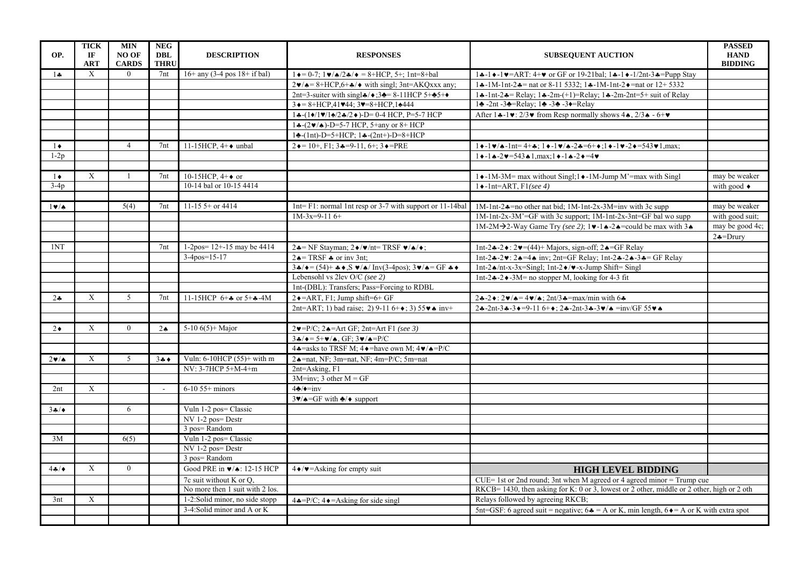| OP.                     | <b>TICK</b><br>IF<br><b>ART</b> | <b>MIN</b><br><b>NO OF</b><br><b>CARDS</b> | <b>NEG</b><br><b>DBL</b><br><b>THRU</b> | <b>DESCRIPTION</b>                       | <b>RESPONSES</b>                                                                                                                                     | <b>PASSED</b><br><b>HAND</b><br><b>SUBSEQUENT AUCTION</b><br><b>BIDDING</b>                                                                                                   |                           |
|-------------------------|---------------------------------|--------------------------------------------|-----------------------------------------|------------------------------------------|------------------------------------------------------------------------------------------------------------------------------------------------------|-------------------------------------------------------------------------------------------------------------------------------------------------------------------------------|---------------------------|
| $1 -$                   | X                               | $\overline{0}$                             | 7nt                                     | $16+$ any (3-4 pos $18+$ if bal)         | $1 \triangleleft = 0$ -7; $1 \triangleright \angle \triangleleft / 2 \triangleleft / \triangleleft = 8 + HCP$ , 5+; 1nt=8+bal                        | $1 \div -1 \div -1 \times 1 = ART$ : 4+ $\vee$ or GF or 19-21bal; 1 $\div -1 \div 1/2$ nt-3 $\div$ =Pupp Stay                                                                 |                           |
|                         |                                 |                                            |                                         |                                          | $2\blacktriangleright$ / $\blacktriangle = 8$ +HCP,6+ $\blacktriangle$ / $\blacktriangleright$ with singl; 3nt=AKQxxx any;                           | 14-1M-1nt-24 = nat or 8-11 5332; 14-1M-1nt-2+ = nat or 12+ 5332                                                                                                               |                           |
|                         |                                 |                                            |                                         |                                          | 2nt=3-suiter with singl $\clubsuit/\spadesuit$ ; 3 $\clubsuit$ = 8-11HCP 5+ $\clubsuit$ 5+ $\spadesuit$                                              | 14-1nt-24 = Relay; 14-2m-(+1)=Relay; 14-2m-2nt=5+ suit of Relay                                                                                                               |                           |
|                         |                                 |                                            |                                         |                                          | $3 \triangleleft = 8 + HCP,41 \blacktriangledown 44; 3 \blacktriangledown = 8 + HCP,1 \triangle 444$                                                 | 14 -2nt -34=Relay; 14 -34 -3+=Relay                                                                                                                                           |                           |
|                         |                                 |                                            |                                         |                                          | $1 \cdot (-1) \cdot 1 \cdot 2 \cdot 2 \cdot 2 \cdot -10 = 0.4$ HCP, P=5-7 HCP                                                                        | After $1 \cdot -1 \cdot 2/3 \cdot \text{from}$ Resp normally shows $4 \cdot 2/3 \cdot -6 + \cdot \text{cm}$                                                                   |                           |
|                         |                                 |                                            |                                         |                                          | $1 \cdot (-2 \cdot / 4) - D = 5 - 7$ HCP, 5+any or 8+ HCP                                                                                            |                                                                                                                                                                               |                           |
|                         |                                 |                                            |                                         |                                          | $1 \cdot (-1nt) - D = 5 + HCP$ ; $1 \cdot (-2nt) - D = 8 + HCP$                                                                                      |                                                                                                                                                                               |                           |
| $\bullet$               |                                 | $\overline{4}$                             | 7nt                                     | 11-15HCP, $4+\bullet$ unbal              | $2 \div 10 + F1$ ; $3 \div 9 - 11$ , $6 +$ ; $3 \div 7$ PRE                                                                                          | $1 \cdot -1 \cdot \sqrt{4} -1$ nt= 4+4; $1 \cdot -1 \cdot \sqrt{4} -2 + 5 \cdot (-1) \cdot -1 \cdot -2 + 543 \cdot 1$ , max;                                                  |                           |
| $1-2p$                  |                                 |                                            |                                         |                                          |                                                                                                                                                      | $1 \cdot -1 \cdot -2 \cdot 543 \cdot 1$ , max; $1 \cdot -1 \cdot -2 \cdot 54 \cdot 7$                                                                                         |                           |
|                         |                                 |                                            |                                         |                                          |                                                                                                                                                      |                                                                                                                                                                               |                           |
| $1\bullet$              | $\mathbf{X}$                    | $\mathbf{1}$                               | 7nt                                     | 10-15HCP, $4+\bullet$ or                 |                                                                                                                                                      | 1 → -1M-3M= max without Singl; 1 → -1M-Jump M'=max with Singl                                                                                                                 | may be weaker             |
| $3-4p$                  |                                 |                                            |                                         | 10-14 bal or 10-15 4414                  |                                                                                                                                                      | $1 \triangleleft$ -1nt=ART, F1(see 4)                                                                                                                                         | with good $\triangleleft$ |
|                         |                                 |                                            |                                         |                                          |                                                                                                                                                      |                                                                                                                                                                               |                           |
| $1 \vee \wedge$         |                                 | 5(4)                                       | 7nt                                     | $11-15$ 5+ or 4414                       | $1nt = F1$ : normal 1nt resp or 3-7 with support or 11-14bal                                                                                         | 1M-1nt-2 $\clubsuit$ =no other nat bid; 1M-1nt-2x-3M=inv with 3c supp                                                                                                         | may be weaker             |
|                         |                                 |                                            |                                         |                                          | $1M-3x=9-116+$                                                                                                                                       | 1M-1nt-2x-3M'=GF with 3c support; 1M-1nt-2x-3nt=GF bal wo supp                                                                                                                | with good suit:           |
|                         |                                 |                                            |                                         |                                          |                                                                                                                                                      | 1M-2M $\rightarrow$ 2-Way Game Try (see 2); 1 $\blacktriangleright$ -1 $\blacktriangle$ -2 $\blacktriangle$ =could be max with 3 $\blacktriangle$                             | may be good 4c;           |
|                         |                                 |                                            |                                         |                                          |                                                                                                                                                      |                                                                                                                                                                               | $2$ $\ast$ =Drury         |
| 1NT                     |                                 |                                            | 7 <sub>nt</sub>                         | $1-2pos = 12+ -15$ may be 4414           | $2\clubsuit$ = NF Stayman; $2\blacklozenge/\blacktriangledown$ /nt = TRSF $\blacktriangledown/\blacklozenge/\blacktriangledown$ ;                    | 1nt-2 $\div$ -2 $\div$ : 2 $\vee$ =(44)+ Majors, sign-off; 2 $\div$ =GF Relay                                                                                                 |                           |
|                         |                                 |                                            |                                         | $3-4$ pos=15-17                          | $2 \triangle = TRSF$ $\triangle$ or inv 3nt;                                                                                                         | $Int-2*-2\nu: 2*-4\nleftrightarrow inv; 2nt=GF$ Relay; $Int-2*-2*-3=-GF$ Relay                                                                                                |                           |
|                         |                                 |                                            |                                         |                                          | $3\clubsuit/\bullet = (54) + \clubsuit\bullet$ , $S \blacktriangleright/\bullet$ / Inv(3-4pos); $3\blacktriangleright/\bullet = GF \clubsuit\bullet$ | $1nt-2$ $\star$ /nt-x-3x=Singl; 1nt-2 $\star$ / $\bullet$ -x-Jump Shift= Singl                                                                                                |                           |
|                         |                                 |                                            |                                         |                                          | Lebensohl vs 2lev O/C (see 2)                                                                                                                        | $1nt-2$ $\div$ -2 $\div$ -3M= no stopper M, looking for 4-3 fit                                                                                                               |                           |
|                         |                                 |                                            |                                         |                                          | 1nt-(DBL): Transfers; Pass=Forcing to RDBL                                                                                                           |                                                                                                                                                                               |                           |
| $2\bullet$              | $\mathbf{X}$                    | 5                                          | 7nt                                     | 11-15HCP $6 +$ or $5 +$ 4-4M             | $2 \triangleleft = ART$ , F1; Jump shift=6+ GF                                                                                                       | $2\clubsuit - 2\blacktriangleright : 2\blacktriangleright / \clubsuit = 4\blacktriangleright / \spadesuit : 2\text{nt}/3\clubsuit = \text{max/min}$ with 6 $\clubsuit$        |                           |
|                         |                                 |                                            |                                         |                                          | 2nt=ART; 1) bad raise; 2) 9-11 6+ $\bullet$ ; 3) 55 $\bullet \bullet$ inv+                                                                           | $2\clubsuit$ -2nt-3 $\clubsuit$ -3 $\bullet$ =9-11 6+ $\bullet$ ; 2 $\clubsuit$ -2nt-3 $\clubsuit$ -3 $\blacktriangleright$ / $\spadesuit$ =inv/GF 55 $\blacktriangleright$ A |                           |
|                         |                                 |                                            |                                         |                                          |                                                                                                                                                      |                                                                                                                                                                               |                           |
| $2\bullet$              | $\boldsymbol{\mathrm{X}}$       | $\mathbf{0}$                               | $2 \triangleleft$                       | 5-10 $6(5)$ + Major                      | $2\blacktriangledown = P/C$ ; $2\blacktriangle = Art GF$ ; $2nt = Art F1$ (see 3)                                                                    |                                                                                                                                                                               |                           |
|                         |                                 |                                            |                                         |                                          | $3\clubsuit/\bullet = 5+\psi/\spadesuit$ , GF; $3\psi/\spadesuit = P/C$                                                                              |                                                                                                                                                                               |                           |
|                         |                                 |                                            |                                         |                                          | 4 $\triangle$ =asks to TRSF M; 4 $\triangle$ =have own M; 4 $\triangledown$ / $\triangle$ =P/C                                                       |                                                                                                                                                                               |                           |
| $2 \cdot 4$             | $\mathbf{X}$                    | 5                                          | $3 + 4$                                 | Vuln: $6-10HCP(55)+$ with m              | $2 \triangle$ =nat, NF; 3m=nat, NF; 4m=P/C; 5m=nat                                                                                                   |                                                                                                                                                                               |                           |
|                         |                                 |                                            |                                         | NV: 3-7HCP 5+M-4+m                       | 2nt=Asking, F1                                                                                                                                       |                                                                                                                                                                               |                           |
|                         |                                 |                                            |                                         |                                          | $3M=inv$ ; 3 other $M = GF$                                                                                                                          |                                                                                                                                                                               |                           |
| 2nt                     | $\mathbf{X}$                    |                                            |                                         | $6-10$ 55+ minors                        | $4\clubsuit/\bullet=$ inv                                                                                                                            |                                                                                                                                                                               |                           |
|                         |                                 |                                            |                                         |                                          | $3\blacktriangledown/\blacktriangle = G$ F with $\blacktriangle/\blacklozenge$ support                                                               |                                                                                                                                                                               |                           |
| $3 + 4$                 |                                 | 6                                          |                                         | Vuln 1-2 pos= Classic                    |                                                                                                                                                      |                                                                                                                                                                               |                           |
|                         |                                 |                                            |                                         | NV 1-2 pos=Destr                         |                                                                                                                                                      |                                                                                                                                                                               |                           |
|                         |                                 |                                            |                                         | 3 pos=Random                             |                                                                                                                                                      |                                                                                                                                                                               |                           |
| 3M                      |                                 | 6(5)                                       |                                         | Vuln 1-2 pos= Classic                    |                                                                                                                                                      |                                                                                                                                                                               |                           |
|                         |                                 |                                            |                                         | NV 1-2 pos=Destr                         |                                                                                                                                                      |                                                                                                                                                                               |                           |
|                         |                                 |                                            |                                         | 3 pos=Random                             |                                                                                                                                                      |                                                                                                                                                                               |                           |
| $4\clubsuit/\spadesuit$ | X                               | $\mathbf{0}$                               |                                         | Good PRE in $\sqrt{\bullet}$ : 12-15 HCP | $4 \cdot / \bullet =$ Asking for empty suit                                                                                                          | <b>HIGH LEVEL BIDDING</b>                                                                                                                                                     |                           |
|                         |                                 |                                            |                                         | 7c suit without K or Q,                  |                                                                                                                                                      | $CUE = 1st$ or 2nd round; 3nt when M agreed or 4 agreed minor $= Trump$ cue                                                                                                   |                           |
|                         |                                 |                                            |                                         | No more then 1 suit with 2 los.          |                                                                                                                                                      | RKCB=1430, then asking for K: 0 or 3, lowest or 2 other, middle or 2 other, high or 2 oth                                                                                     |                           |
| 3nt                     | $\mathbf{X}$                    |                                            |                                         | 1-2:Solid minor, no side stopp           | $4\clubsuit = P/C$ ; $4\spadesuit =$ Asking for side singl                                                                                           | Relays followed by agreeing RKCB;                                                                                                                                             |                           |
|                         |                                 |                                            |                                         | 3-4:Solid minor and A or K               |                                                                                                                                                      | 5nt=GSF: 6 agreed suit = negative; $6\bullet$ = A or K, min length, $6\bullet$ = A or K with extra spot                                                                       |                           |
|                         |                                 |                                            |                                         |                                          |                                                                                                                                                      |                                                                                                                                                                               |                           |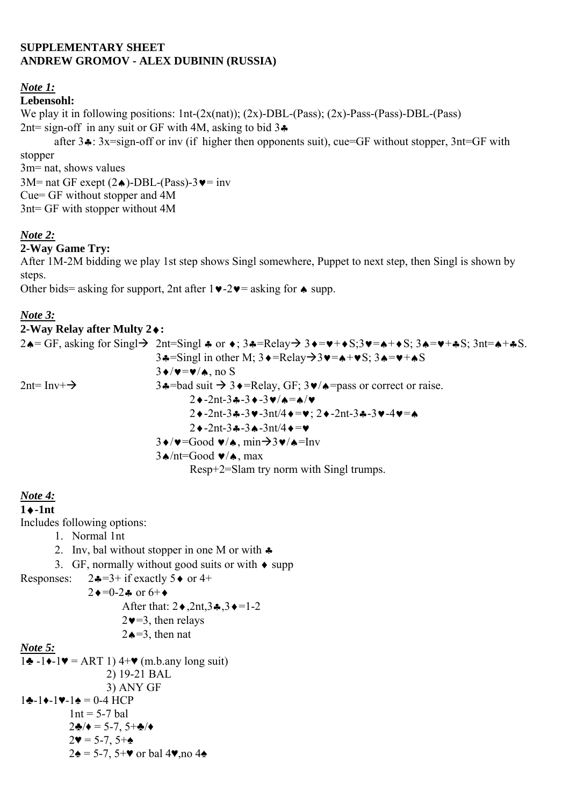#### **SUPPLEMENTARY SHEET ANDREW GROMOV - ALEX DUBININ (RUSSIA)**

### *Note 1:*

### **Lebensohl:**

We play it in following positions: 1nt-(2x(nat)); (2x)-DBL-(Pass); (2x)-Pass-(Pass)-DBL-(Pass) 2nt= sign-off in any suit or GF with 4M, asking to bid  $3\clubsuit$ 

 after 3♣: 3x=sign-off or inv (if higher then opponents suit), cue=GF without stopper, 3nt=GF with stopper

3m= nat, shows values 3M= nat GF exept  $(2\bullet)$ -DBL-(Pass)-3 $\bullet$ = inv Cue= GF without stopper and 4M 3nt= GF with stopper without 4M

# *Note 2:*

#### **2-Way Game Try:**

After 1M-2M bidding we play 1st step shows Singl somewhere, Puppet to next step, then Singl is shown by steps.

Other bids= asking for support, 2nt after 1♥-2♥= asking for ♠ supp.

### *Note 3:*

## **2-Way Relay after Multy 2**♦**:**

| $= 11.47$ and $= 1.1444$ |                                                                                                                                                                                                                                                                                                                                                                                |
|--------------------------|--------------------------------------------------------------------------------------------------------------------------------------------------------------------------------------------------------------------------------------------------------------------------------------------------------------------------------------------------------------------------------|
|                          | 2.4= GF, asking for Singl $\rightarrow$ 2nt=Singl $\ast$ or $\ast$ ; 3.4=Relay $\rightarrow$ 3.4= $\ast + \ast$ S; 3.4= $\ast + \ast$ S; 3.11= $\ast + \ast$ S.                                                                                                                                                                                                                |
|                          | $3 \cdot \frac{1}{2}$ =Singl in other M; $3 \cdot \frac{1}{2}$ =Relay $\rightarrow$ 3 $\cdot \frac{1}{2}$ = $\cdot \frac{1}{2}$ $\cdot \frac{1}{2}$ $\cdot \frac{1}{2}$ $\cdot \frac{1}{2}$ $\cdot \frac{1}{2}$ $\cdot \frac{1}{2}$ $\cdot \frac{1}{2}$ $\cdot \frac{1}{2}$ $\cdot \frac{1}{2}$ $\cdot \frac{1}{2}$ $\cdot \frac{1}{2}$ $\cdot \frac{1}{2}$ $\cdot \frac{1}{2$ |
|                          | $3\blacklozenge/\blacktriangledown=\blacktriangledown/\blacktriangle$ , no S                                                                                                                                                                                                                                                                                                   |
| $2nt=Inv+}\rightarrow$   | $3 \cdot \frac{1}{2}$ = bad suit $\rightarrow 3 \cdot \frac{1}{2}$ = Relay, GF; $3 \cdot \frac{1}{2}$ = pass or correct or raise.                                                                                                                                                                                                                                              |
|                          | $2 \triangleleft -2nt - 3 \triangleleft -3 \triangleleft -3 \triangleleft / \triangleleft = \triangle / \triangleleft$                                                                                                                                                                                                                                                         |
|                          | $2\cdot -2nt-3\cdot -3\cdot -3nt/4\cdot =\cdot ; 2\cdot -2nt-3\cdot -3\cdot -4\cdot =\cdot$                                                                                                                                                                                                                                                                                    |
|                          | $2 \triangleleft -2nt - 3 \triangleleft -3 \triangleleft -3nt/4 \triangleleft = \triangledown$                                                                                                                                                                                                                                                                                 |
|                          | $3\blacklozenge/\blacktriangledown$ =Good $\blacktriangledown/\blacktriangle$ , min $\rightarrow$ 3 $\blacktriangledown/\blacktriangle$ =Inv                                                                                                                                                                                                                                   |
|                          | $3 \triangle \text{nt}$ =Good $\blacktriangledown$ $\triangle$ , max                                                                                                                                                                                                                                                                                                           |
|                          | Resp+2=Slam try norm with Singl trumps.                                                                                                                                                                                                                                                                                                                                        |

*Note 4:*

## **1**♦**-1nt**

Includes following options:

- 1. Normal 1nt
- 2. Inv, bal without stopper in one M or with ♣
- 3. GF, normally without good suits or with  $\bullet$  supp

Responses:  $2\clubsuit=3+$  if exactly  $5\spadesuit$  or  $4+$ 

 $2 \bullet = 0.2 \bullet$  or  $6 + \bullet$ 

After that: 2♦,2nt,3♣,3♦=1-2

$$
2 \blacktriangleright = 3
$$
, then relays

 $2\triangle = 3$  then nat

#### *Note 5:*

1♣ -1♦-1♥ = ART 1)  $4+$ ♥ (m.b.any long suit) 2) 19-21 BAL 3) ANY GF  $1 \cdot -1 \cdot -1 \cdot = 0.4$  HCP  $1nt = 5-7$  bal 2♣/♦ = 5-7, 5+♣/♦  $2\Psi = 5 - 7, 5 + \triangle$  $2\spadesuit$  = 5-7, 5+ $\blacktriangledown$  or bal 4 $\blacktriangledown$ , no 4 $\spadesuit$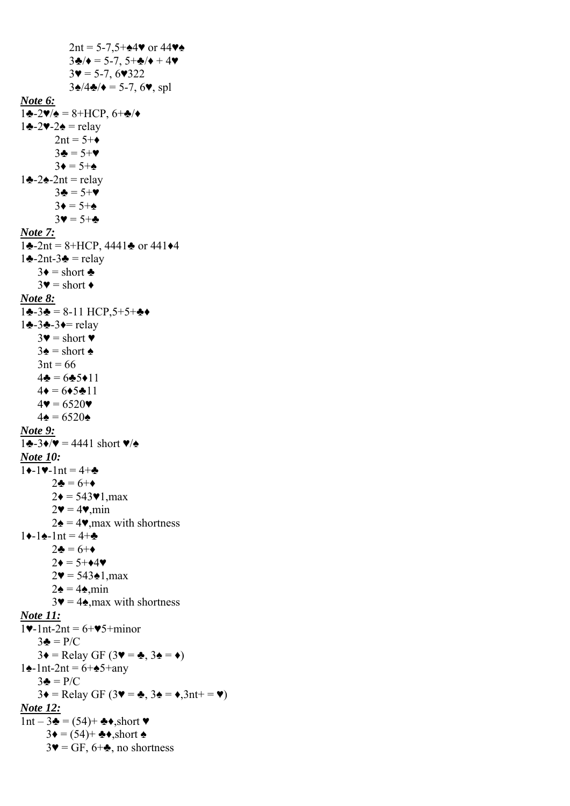2nt =  $5-7.5 + 44$  or  $44$  $3\clubsuit/\bullet = 5-7, 5+\clubsuit/\bullet + 4\blacktriangledown$  $3\blacktriangledown = 5-7, 6\blacktriangledown 322$  $3\spadesuit/4\clubsuit/\spadesuit = 5-7, 6\spadesuit$ , spl *Note 6:*  $1\bigstar - 2\blacktriangledown/\blacktriangle = 8 + \text{HCP}, 6 + \blacktriangle/\blacktriangle$ 1♣-2♥-2♠ = relay  $2nt = 5+\bullet$  $3\clubsuit = 5+\blacktriangledown$  $3\blacklozenge = 5 + \blacklozenge$ 1♣-2♠-2nt = relay 3♣ = 5+♥  $3\bullet = 5 + \bullet$  $3 \blacktriangledown = 5 + \clubsuit$ *Note 7:*  $1\bigtriangleup$ -2nt = 8+HCP, 4441 $\bigtriangleup$  or 441 $\bigtriangleup$ 4 1♣-2nt-3♣ = relay  $3\bullet = \text{short} \bullet$  $3\blacktriangledown = \text{short} \blacktriangle$ *Note 8:*  $1\clubsuit - 3\clubsuit = 8-11$  HCP,  $5+5+\clubsuit \spadesuit$ 1♣-3♣-3♦= relay  $3\blacktriangledown = \text{short } \blacktriangledown$  $3\spadesuit$  = short  $\spadesuit$  $3nt = 66$  $4\clubsuit = 6\clubsuit 5\spadesuit 11$  $4\bullet = 6\bullet 5\bullet 11$  $4\mathbf{v} = 6520\mathbf{v}$  $4\spadesuit = 6520\spadesuit$ *Note 9:*  $1\clubsuit -3\spadesuit/\blacktriangledown = 4441$  short  $\blacktriangledown/\blacktriangle$ *Note 10:*   $1 \bigarrow -1 \cup -1$ nt = 4+ $\bigarrow$  $2\clubsuit = 6 + \spadesuit$  $2\bullet = 543\cdot 1$ , max  $2\Psi = 4\Psi$ , min  $2\spadesuit$  = 4 $\blacktriangledown$ , max with shortness  $1 \bigarrow -1 \bigarrow -1$ nt = 4+ $\bigarrow$  $2\clubsuit = 6+\diamond$  $2\bullet = 5 + \bullet 4\bullet$  $2\Psi = 543*1, \text{max}$  $2\spadesuit = 4\spadesuit$ , min  $3\Psi = 4\triangle$ , max with shortness *Note 11:*  $1$ .  $nt-2nt = 6 + 95 + 10$  $3\clubsuit = P/C$  $3\blacklozenge =$  Relay GF (3 $\blacktriangledown = \clubsuit$ , 3 $\blacktriangle = \blacklozenge$ ) 1♠-1nt-2nt = 6+♠5+any  $3\clubsuit = P/C$  $3\blacklozenge =$  Relay GF (3 $\blacktriangledown = \clubsuit$ , 3 $\blacktriangle = \blacklozenge$ , 3nt+ =  $\blacktriangledown$ ) *Note 12:*  $1nt - 3$ ♣ = (54)+ ♣◆,short ♥  $3\bullet = (54) + \clubsuit\bullet$ , short  $\spadesuit$  $3\Psi = GF$ ,  $6+\clubsuit$ , no shortness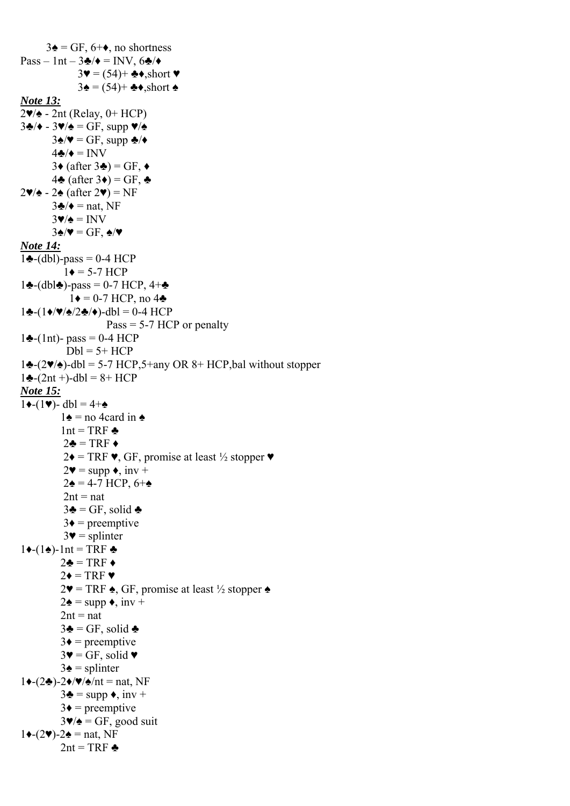$3\spadesuit$  = GF, 6+ $\spadesuit$ , no shortness  $Pass - Int - 3\clubsuit/\bullet = INV$ , 6 $\clubsuit/\bullet$  $3\Psi = (54) + \clubsuit\bullet$ , short  $\Psi$  $3\spadesuit$  = (54)+  $\clubsuit\spadesuit$ , short  $\spadesuit$ *Note 13:*  $2\Psi/\Phi$  - 2nt (Relay, 0+ HCP)  $3\clubsuit/\bullet$  -  $3\blacktriangledown/\bullet$  = GF, supp  $\blacktriangledown/\bullet$ 3 $\triangle$ /♥ = GF, supp  $\triangle$ /◆  $4\clubsuit/\bullet = INV$ 3♦ (after 3 $\triangleleft$ ) = GF,  $\triangleleft$ 4 $\triangle$  (after 3 $\triangleleft$ ) = GF,  $\triangleleft$ 2♥/♠ - 2♠ (after 2♥) = NF  $3\clubsuit/\bullet$  = nat, NF  $3\Psi/\mathbf{a} = INV$  $3\spadesuit/\blacktriangledown$  = GF,  $\spadesuit/\blacktriangledown$ *Note 14:*  $1\bigstar$ -(dbl)-pass = 0-4 HCP  $1\bullet = 5 - 7$  HCP 1♣-(dbl♣)-pass = 0-7 HCP,  $4+$  $1\blacklozenge = 0$ -7 HCP, no 4 $\blacklozenge$  $1 \cdot (-1) \cdot \sqrt{\frac{4}{2}} \cdot 2 \cdot (-1) - \frac{1}{2} \cdot 1 = 0 - 4$  HCP  $Pass = 5-7 HCP$  or penalty  $1\bigoplus - (1nt)$ - pass = 0-4 HCP  $Dbl = 5 + HCP$  $1\bigtriangleup$ -(2 $\blacktriangledown/\triangle$ )-dbl = 5-7 HCP,5+any OR 8+ HCP,bal without stopper  $1\clubsuit$ -(2nt +)-dbl = 8+ HCP *Note 15:*  $1 \triangleleft - (1 \triangledown) - \text{db} = 4 + \triangleleft$ 1 $\triangle$  = no 4card in  $\triangle$  $1nt = TRF$   $\triangleq$  $2\clubsuit$  = TRF  $\triangleleft$  $2\blacklozenge = \text{TRF}\blacktriangleright, \text{GF, promise at least } \frac{1}{2} \text{ stopper}\blacktriangleright$  $2\blacktriangledown = \text{supp } \blacklozenge, \text{ inv } +$  $2\spadesuit$  = 4-7 HCP, 6+ $\spadesuit$  $2nt = nat$  $3\clubsuit = GF$ , solid  $\clubsuit$  $3\bullet$  = preemptive  $3\blacktriangledown$  = splinter  $1\blacklozenge$ -(1 $\blacklozenge$ )-1nt = TRF  $\blacklozenge$  $2\clubsuit = TRF \bullet$  $2\bullet = \text{TRF } \bullet$  $2\Psi = TRF \triangle$ , GF, promise at least ½ stopper  $\triangle$  $2\spadesuit$  = supp  $\bullet$ , inv +  $2nt = nat$  $3\clubsuit = GF$ , solid  $\clubsuit$  $3\bullet$  = preemptive  $3\Psi = GF$ , solid  $\Psi$  $3\spadesuit$  = splinter  $1\blacklozenge-(2\clubsuit)$ -2 $\blacklozenge/\blacktriangledown/\blacktriangle/nt$  = nat, NF  $3\clubsuit$  = supp  $\bullet$ , inv +  $3\bullet$  = preemptive  $3\Psi/\phi = GF$ , good suit  $1 \leftarrow (2 \blacktriangledown) - 2 \triangleleft = \text{nat}, \text{NF}$ 2nt = TRF  $\triangle$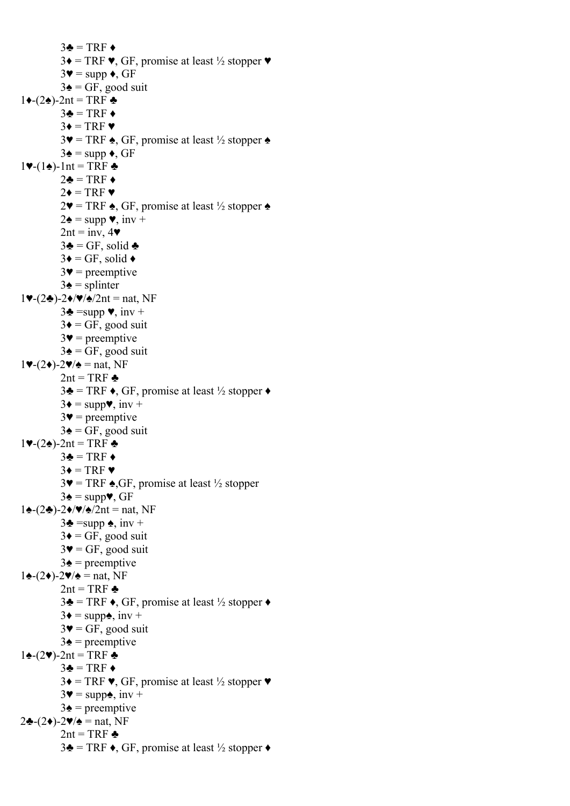$3\clubsuit = TRF \bullet$  $3\blacklozenge = \text{TRF}\blacktriangleright, \text{GF, promise at least } \frac{1}{2} \text{ stopper}\blacktriangleright$  $3\blacktriangledown = \text{supp }\blacklozenge, GF$  $3\spadesuit$  = GF, good suit  $1 \leftarrow (2 \triangle 2) - 2$ nt = TRF  $\triangle 2$  $3\clubsuit = TRF \bullet$  $3\bullet = \text{TRF} \bullet$  $3\blacktriangledown$  = TRF  $\blacktriangle$ , GF, promise at least  $\frac{1}{2}$  stopper  $\blacktriangle$  $3\spadesuit$  = supp  $\bullet$ , GF  $1$  $\blacktriangleright$ -1nt = TRF  $\triangleleft$ 2♣ = TRF  $\triangle$  $2\bullet = TRF \bullet$  $2\Psi = TRF \triangle$ , GF, promise at least  $\frac{1}{2}$  stopper  $\triangle$  $2\spadesuit$  = supp  $\blacktriangledown$ , inv +  $2nt = inv, 4$  $3\clubsuit = GF$ , solid  $\clubsuit$  $3\blacklozenge = \text{GF}, \text{ solid } \blacklozenge$  $3\blacktriangledown$  = preemptive  $3\spadesuit$  = splinter  $1\blacktriangledown-(2\clubsuit)$ -2 $\blacktriangledown/\blacktriangledown/2$ nt = nat, NF  $3\clubsuit = \text{supp }\blacktriangledown, \text{inv }+$  $3\bullet = GF$ , good suit  $3\blacktriangledown$  = preemptive  $3\spadesuit$  = GF, good suit  $1\blacktriangledown-(2\blacklozenge)-2\blacktriangledown/\blacktriangle = \text{nat}, \text{NF}$ 2nt = TRF  $\triangle$  $3\clubsuit$  = TRF  $\bullet$ , GF, promise at least  $\frac{1}{2}$  stopper  $\bullet$  $3\blacklozenge = \text{supp}\blacktriangledown, \text{inv} +$  $3\blacktriangledown$  = preemptive  $3\spadesuit$  = GF, good suit 1♥- $(2\spadesuit)$ -2nt = TRF  $\clubsuit$  $3\clubsuit = TRF \bullet$  $3\bullet = \text{TRF} \bullet$  $3\blacktriangledown = TRF \triangleleft GF$ , promise at least  $\frac{1}{2}$  stopper  $3\spadesuit$  = supp $\blacktriangledown$ , GF  $1\blacktriangle$ -(2♣)-2♦/♥/ $\blacktriangle$ /2nt = nat, NF  $3\clubsuit$  =supp  $\spadesuit$ , inv +  $3\bullet = GF$ , good suit  $3\blacktriangledown$  = GF, good suit  $3\spadesuit$  = preemptive  $1\spadesuit$ -(2♦)-2♥/ $\spadesuit$  = nat, NF 2nt = TRF  $\triangle$  $3\clubsuit$  = TRF  $\bullet$ , GF, promise at least  $\frac{1}{2}$  stopper  $\bullet$  $3\blacklozenge = \text{supp}\blacklozenge, \text{ inv} +$  $3\blacktriangledown$  = GF, good suit  $3\spadesuit$  = preemptive  $1\bigstar$ -(2♥)-2nt = TRF  $\bigstar$  $3\clubsuit = TRF \bullet$  $3\blacklozenge = \text{TRF}\blacktriangleright, \text{GF, promise at least } \frac{1}{2} \text{ stopper}\blacktriangleright$  $3\blacktriangledown = \text{supp}\spadesuit$ , inv +  $3\spadesuit$  = preemptive 2♣- $(2\blacklozenge)$ -2♥/ $\blacktriangle$  = nat, NF 2nt = TRF  $\triangle$  $3\clubsuit$  = TRF  $\bullet$ , GF, promise at least  $\frac{1}{2}$  stopper  $\bullet$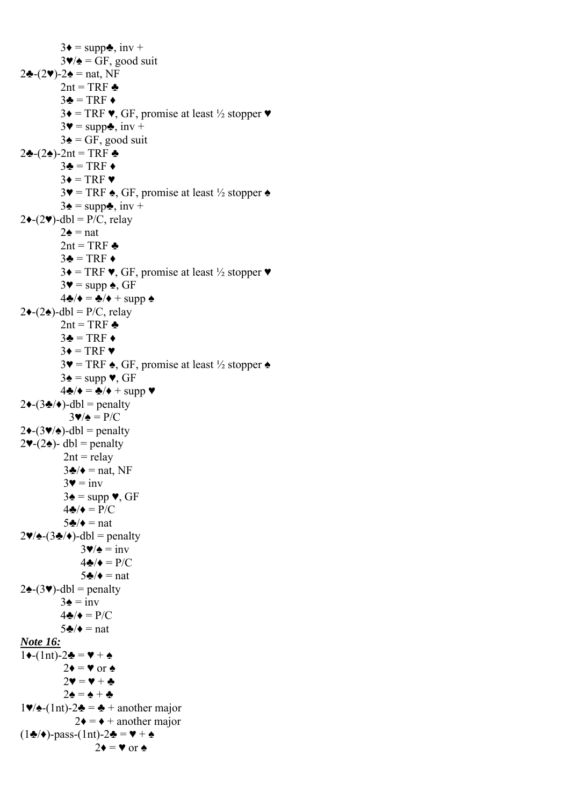$3\blacklozenge = \text{supp} \clubsuit$ , inv +  $3\Psi/\mathbf{A} = \text{GF}, \text{good suit}$ 2♣- $(2\Psi)$ -2♠ = nat, NF 2nt = TRF  $\triangle$  $3\clubsuit = TRF \bullet$ 3♦ = TRF  $\Psi$ , GF, promise at least ½ stopper  $\Psi$  $3\blacktriangledown = \text{supp} \clubsuit$ , inv +  $3\spadesuit$  = GF, good suit 2♣ $-(2)$ -2nt = TRF ♣  $3\clubsuit = TRF \bullet$  $3\bullet = \text{TRF} \bullet$  $3\blacktriangledown$  = TRF  $\blacktriangle$ , GF, promise at least ½ stopper  $\blacktriangle$  $3\spadesuit$  = supp $\clubsuit$ , inv +  $2 \cdot (-2 \cdot)$ -dbl = P/C, relay  $2\spadesuit$  = nat 2nt = TRF  $\triangle$  $3\clubsuit = TRF \bullet$  $3\bullet = \text{TRF } \blacktriangleright$ , GF, promise at least  $\frac{1}{2}$  stopper  $\blacktriangleright$  $3\blacktriangledown$  = supp  $\blacktriangle$ , GF  $4\clubsuit/\blacklozenge = \clubsuit/\blacklozenge + \text{supp } \spadesuit$  $2\blacklozenge-(2\blacklozenge)$ -dbl = P/C, relay 2nt = TRF  $\triangle$  $3\clubsuit = TRF \bullet$  $3\bullet = \text{TRF}$  $3\Psi = TRF \triangle$ , GF, promise at least ½ stopper  $\triangle$  $3\spadesuit$  = supp  $\blacktriangledown$ , GF  $4\clubsuit/\blacklozenge = \clubsuit/\blacklozenge + \text{supp }\blacktriangledown$  $2\blacklozenge-(3\clubsuit/\blacklozenge)$ -dbl = penalty  $3\blacktriangledown/\blacktriangle = P/C$  $2\blacklozenge-(3\blacktriangledown/\blacktriangle)$ -dbl = penalty  $2\blacktriangleright (2\spadesuit)$ - dbl = penalty  $2nt =$ relay  $3\clubsuit/\bullet$  = nat, NF  $3\blacktriangledown = \text{inv}$  $3\spadesuit$  = supp  $\blacktriangledown$ , GF  $4\clubsuit/\bullet = P/C$  $5\clubsuit/\bullet$  = nat  $2\Psi/\triangle(-3\clubsuit/\blacklozenge)$ -dbl = penalty  $3\Psi/\Phi = \text{inv}$  $4\clubsuit/\bullet = P/C$  $5\clubsuit/\bullet$  = nat  $2\triangle(-3\Psi)$ -dbl = penalty  $3\spadesuit = inv$  $4\clubsuit/\spadesuit = P/C$  $5\clubsuit/\bullet$  = nat *Note 16:*  $1 \triangleleft - (1nt) - 2 \triangleleft = \mathbf{V} + \mathbf{A}$  $2\bullet = \bullet$  or  $\bullet$  $2\mathbf{v} = \mathbf{v} + \mathbf{A}$  $2\spadesuit = \spadesuit + \clubsuit$  $1\blacktriangledown/\blacktriangle$ -(1nt)-2 $\blacktriangle$  =  $\blacktriangle$  + another major  $2\blacklozenge = \blacklozenge +$  another major  $(1\clubsuit/\bullet)$ -pass- $(1nt)$ -2♣ =  $\blacktriangleright$  + ♠  $2\blacklozenge = \blacktriangledown$  or  $\blacktriangle$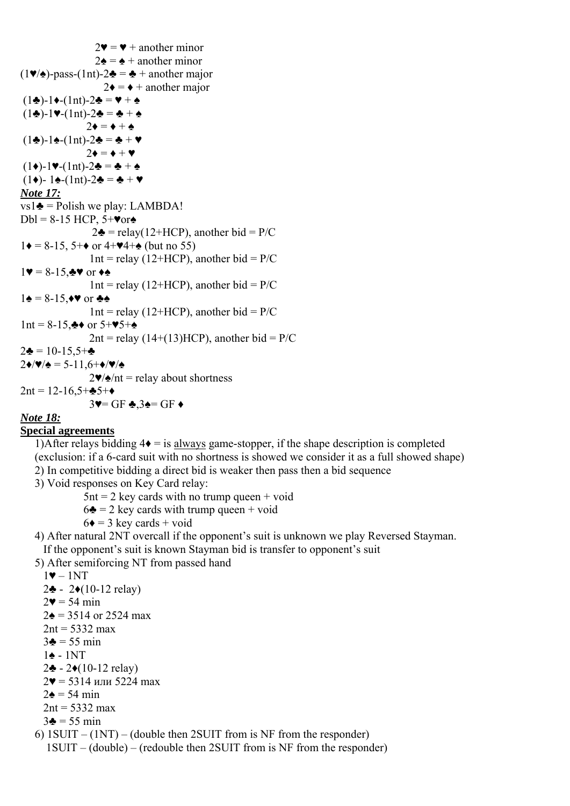$2\mathbf{v} = \mathbf{v} +$  another minor  $2\spadesuit$  =  $\spadesuit$  + another minor  $(1\blacktriangleright/\blacktriangle)$ -pass- $(1nt)$ -2 $\blacktriangle$  =  $\blacktriangle$  + another major  $2\blacklozenge = \blacklozenge$  + another major  $(1\clubsuit)$ -1 $\bullet$ -(1nt)-2 $\spadesuit$  =  $\blacktriangledown$  +  $\spadesuit$  $(1\clubsuit)$ -1♥-(1nt)-2♣ = ♣ + ♠  $2\blacklozenge = \blacklozenge + \blacklozenge$  $(1\clubsuit)$ -1♠-(1nt)-2♣ = ♣ + ♥  $2\bullet = \bullet + \bullet$  $(1\bullet)-1\blacktriangleright(1\text{nt})-2\clubsuit=\clubsuit+\spadesuit$  (1♦)- 1♠-(1nt)-2♣ = ♣ + ♥ *Note 17:*  $vs1\clubsuit$  = Polish we play: LAMBDA!  $Dbl = 8-15$  HCP,  $5+\text{Vor}$  $2\clubsuit$  = relay(12+HCP), another bid = P/C  $1\blacklozenge = 8-15, 5+\blacklozenge$  or  $4+\blacktriangleright 4+\blacklozenge$  (but no 55)  $1nt =$  relay (12+HCP), another bid = P/C  $1 \blacktriangledown = 8 - 15,$   $\blacktriangleright \blacktriangledown$  or  $\blacklozenge \blacktriangle$ 1nt = relay (12+HCP), another bid =  $P/C$  $1\spadesuit = 8-15, \spadesuit \spadesuit$  or  $\clubsuit \spadesuit$ 1nt = relay (12+HCP), another bid =  $P/C$ 1nt = 8-15,  $\clubsuit \leftrightarrow$  or 5+ $\blacktriangledown$ 5+ $\spadesuit$  $2nt =$ relay (14+(13)HCP), another bid = P/C  $2\clubsuit = 10-15.5+\clubsuit$  $2\blacklozenge/\blacktriangledown/\blacktriangle = 5-11.6+\blacklozenge/\blacktriangledown/\blacktriangle$  $2\Psi/\phi$ /nt = relay about shortness 2nt =  $12-16,5+\div 5+\div$  $3\blacktriangledown$ = GF  $\clubsuit$ .3 $\blacktriangle$ = GF $\blacktriangleright$ 

#### *Note 18:*

#### **Special agreements**

1)After relays bidding  $4\bullet =$  is always game-stopper, if the shape description is completed (exclusion: if a 6-card suit with no shortness is showed we consider it as a full showed shape) 2) In competitive bidding a direct bid is weaker then pass then a bid sequence

3) Void responses on Key Card relay:

 $5$ nt = 2 key cards with no trump queen + void

- $6\clubsuit$  = 2 key cards with trump queen + void
- $6\bullet$  = 3 key cards + void

 4) After natural 2NT overcall if the opponent's suit is unknown we play Reversed Stayman. If the opponent's suit is known Stayman bid is transfer to opponent's suit

5) After semiforcing NT from passed hand

```
1-1NT
```
- 2♣ 2♦(10-12 relay)
- $2**v** = 54 min$
- $2\bullet = 3514$  or 2524 max
- $2nt = 5332$  max
- $3\clubsuit = 55 \text{ min}$
- 1♠ 1NT
- 2♣ 2♦(10-12 relay)
- $2\Psi = 5314$  или 5224 max
- $2\spadesuit$  = 54 min
- $2nt = 5332$  max

```
3\clubsuit = 55 \text{ min}
```
6)  $1$ SUIT –  $(1NT)$  – (double then 2SUIT from is NF from the responder)

1SUIT – (double) – (redouble then 2SUIT from is NF from the responder)